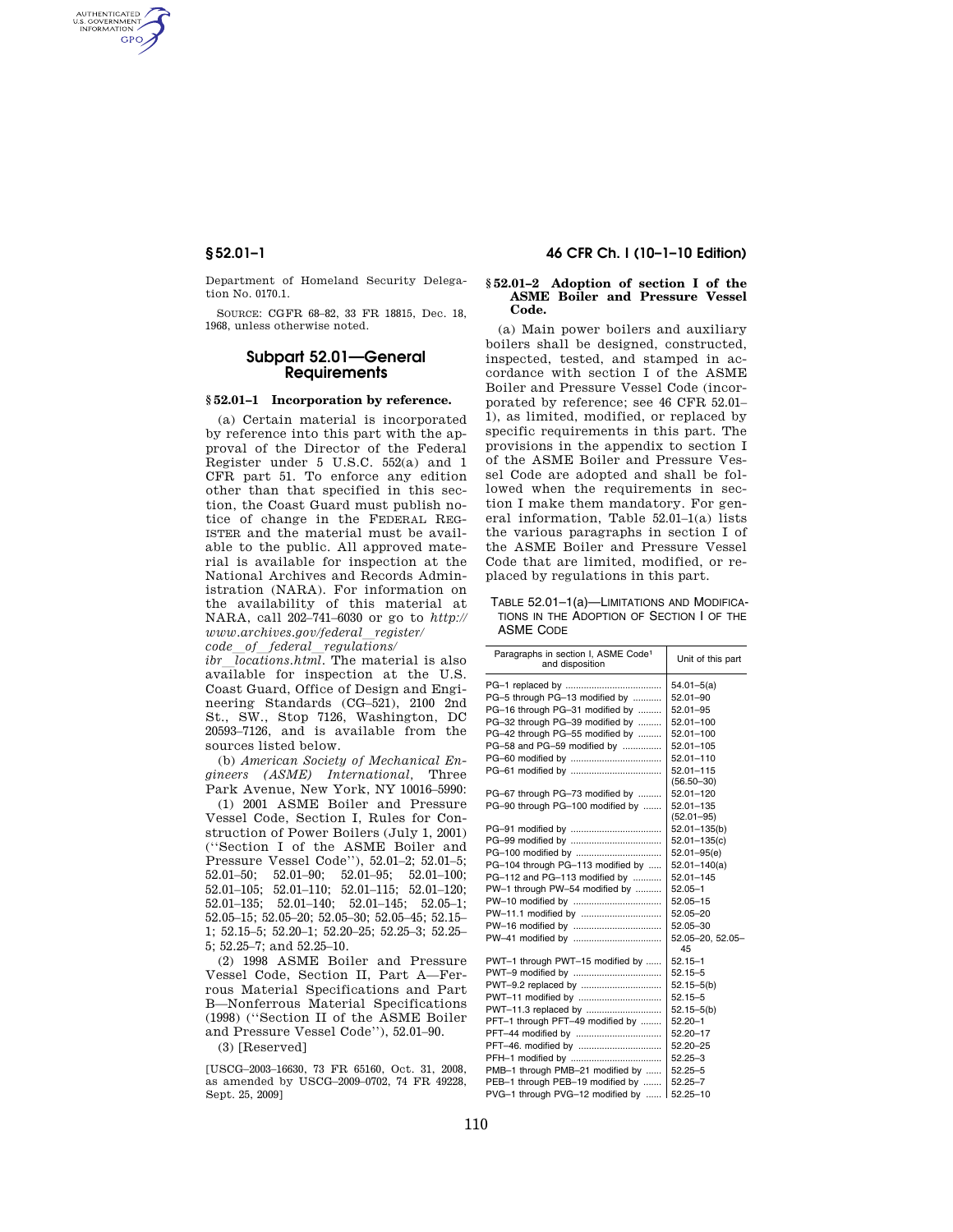AUTHENTICATED<br>U.S. GOVERNMENT<br>INFORMATION **GPO** 

> Department of Homeland Security Delegation No. 0170.1.

> SOURCE: CGFR 68–82, 33 FR 18815, Dec. 18, 1968, unless otherwise noted.

# **Subpart 52.01—General Requirements**

## **§ 52.01–1 Incorporation by reference.**

(a) Certain material is incorporated by reference into this part with the approval of the Director of the Federal Register under 5 U.S.C. 552(a) and 1 CFR part 51. To enforce any edition other than that specified in this section, the Coast Guard must publish notice of change in the FEDERAL REG-ISTER and the material must be available to the public. All approved material is available for inspection at the National Archives and Records Administration (NARA). For information on the availability of this material at NARA, call 202–741–6030 or go to *http:// www.archives.gov/federal*l*register/ code*l*of*l*federal*l*regulations/* 

*ibr locations.html*. The material is also available for inspection at the U.S. Coast Guard, Office of Design and Engineering Standards (CG–521), 2100 2nd St., SW., Stop 7126, Washington, DC 20593–7126, and is available from the sources listed below.

(b) *American Society of Mechanical Engineers (ASME) International,* Three Park Avenue, New York, NY 10016–5990:

(1) 2001 ASME Boiler and Pressure Vessel Code, Section I, Rules for Construction of Power Boilers (July 1, 2001) (''Section I of the ASME Boiler and Pressure Vessel Code''), 52.01–2; 52.01–5; 52.01–50; 52.01–90; 52.01–95; 52.01–100; 52.01–105; 52.01–110; 52.01–115; 52.01–120; 52.01–135; 52.01–140; 52.01–145; 52.05–1; 52.05–15; 52.05–20; 52.05–30; 52.05–45; 52.15– 1; 52.15–5; 52.20–1; 52.20–25; 52.25–3; 52.25– 5; 52.25–7; and 52.25–10.

(2) 1998 ASME Boiler and Pressure Vessel Code, Section II, Part A—Ferrous Material Specifications and Part B—Nonferrous Material Specifications (1998) (''Section II of the ASME Boiler and Pressure Vessel Code''), 52.01–90.

(3) [Reserved]

[USCG–2003–16630, 73 FR 65160, Oct. 31, 2008, as amended by USCG–2009–0702, 74 FR 49228, Sept. 25, 2009]

# **§ 52.01–1 46 CFR Ch. I (10–1–10 Edition)**

### **§ 52.01–2 Adoption of section I of the ASME Boiler and Pressure Vessel Code.**

(a) Main power boilers and auxiliary boilers shall be designed, constructed, inspected, tested, and stamped in accordance with section I of the ASME Boiler and Pressure Vessel Code (incorporated by reference; see 46 CFR 52.01– 1), as limited, modified, or replaced by specific requirements in this part. The provisions in the appendix to section I of the ASME Boiler and Pressure Vessel Code are adopted and shall be followed when the requirements in section I make them mandatory. For general information, Table 52.01–1(a) lists the various paragraphs in section I of the ASME Boiler and Pressure Vessel Code that are limited, modified, or replaced by regulations in this part.

TABLE 52.01–1(a)—LIMITATIONS AND MODIFICA-TIONS IN THE ADOPTION OF SECTION I OF THE ASME CODE

| $54.01 - 5(a)$<br>PG-5 through PG-13 modified by<br>52.01-90<br>PG-16 through PG-31 modified by<br>52.01-95<br>PG-32 through PG-39 modified by<br>52.01-100<br>PG-42 through PG-55 modified by<br>$52.01 - 100$<br>PG-58 and PG-59 modified by<br>52.01-105<br>$52.01 - 110$<br>$52.01 - 115$<br>$(56.50 - 30)$<br>PG-67 through PG-73 modified by<br>52.01-120<br>PG-90 through PG-100 modified by<br>52.01-135<br>$(52.01 - 95)$<br>$52.01 - 135(b)$<br>$52.01 - 135(c)$<br>$52.01 - 95(e)$<br>PG-104 through PG-113 modified by<br>$52.01 - 140(a)$<br>PG-112 and PG-113 modified by<br>$52.01 - 145$<br>PW-1 through PW-54 modified by<br>$52.05 - 1$<br>$52.05 - 15$<br>PW-11.1 modified by<br>52.05-20<br>52.05-30<br>52.05-20, 52.05-<br>45<br>PWT-1 through PWT-15 modified by<br>$52.15 - 1$<br>PWT-9 modified by<br>$52.15 - 5$<br>PWT-9.2 replaced by<br>$52.15 - 5(b)$<br>PWT-11 modified by<br>$52.15 - 5$<br>$52.15 - 5(b)$<br>PFT-1 through PFT-49 modified by<br>$52.20 - 1$<br>PFT-44 modified by<br>52.20-17<br>52.20-25<br>$52.25 - 3$<br>PMB-1 through PMB-21 modified by<br>$52.25 - 5$<br>PEB-1 through PEB-19 modified by<br>$52.25 - 7$<br>PVG-1 through PVG-12 modified by<br>$52.25 - 10$ | Paragraphs in section I, ASME Code <sup>1</sup><br>and disposition | Unit of this part |
|---------------------------------------------------------------------------------------------------------------------------------------------------------------------------------------------------------------------------------------------------------------------------------------------------------------------------------------------------------------------------------------------------------------------------------------------------------------------------------------------------------------------------------------------------------------------------------------------------------------------------------------------------------------------------------------------------------------------------------------------------------------------------------------------------------------------------------------------------------------------------------------------------------------------------------------------------------------------------------------------------------------------------------------------------------------------------------------------------------------------------------------------------------------------------------------------------------------------|--------------------------------------------------------------------|-------------------|
|                                                                                                                                                                                                                                                                                                                                                                                                                                                                                                                                                                                                                                                                                                                                                                                                                                                                                                                                                                                                                                                                                                                                                                                                                     |                                                                    |                   |
|                                                                                                                                                                                                                                                                                                                                                                                                                                                                                                                                                                                                                                                                                                                                                                                                                                                                                                                                                                                                                                                                                                                                                                                                                     |                                                                    |                   |
|                                                                                                                                                                                                                                                                                                                                                                                                                                                                                                                                                                                                                                                                                                                                                                                                                                                                                                                                                                                                                                                                                                                                                                                                                     |                                                                    |                   |
|                                                                                                                                                                                                                                                                                                                                                                                                                                                                                                                                                                                                                                                                                                                                                                                                                                                                                                                                                                                                                                                                                                                                                                                                                     |                                                                    |                   |
|                                                                                                                                                                                                                                                                                                                                                                                                                                                                                                                                                                                                                                                                                                                                                                                                                                                                                                                                                                                                                                                                                                                                                                                                                     |                                                                    |                   |
|                                                                                                                                                                                                                                                                                                                                                                                                                                                                                                                                                                                                                                                                                                                                                                                                                                                                                                                                                                                                                                                                                                                                                                                                                     |                                                                    |                   |
|                                                                                                                                                                                                                                                                                                                                                                                                                                                                                                                                                                                                                                                                                                                                                                                                                                                                                                                                                                                                                                                                                                                                                                                                                     |                                                                    |                   |
|                                                                                                                                                                                                                                                                                                                                                                                                                                                                                                                                                                                                                                                                                                                                                                                                                                                                                                                                                                                                                                                                                                                                                                                                                     |                                                                    |                   |
|                                                                                                                                                                                                                                                                                                                                                                                                                                                                                                                                                                                                                                                                                                                                                                                                                                                                                                                                                                                                                                                                                                                                                                                                                     |                                                                    |                   |
|                                                                                                                                                                                                                                                                                                                                                                                                                                                                                                                                                                                                                                                                                                                                                                                                                                                                                                                                                                                                                                                                                                                                                                                                                     |                                                                    |                   |
|                                                                                                                                                                                                                                                                                                                                                                                                                                                                                                                                                                                                                                                                                                                                                                                                                                                                                                                                                                                                                                                                                                                                                                                                                     |                                                                    |                   |
|                                                                                                                                                                                                                                                                                                                                                                                                                                                                                                                                                                                                                                                                                                                                                                                                                                                                                                                                                                                                                                                                                                                                                                                                                     |                                                                    |                   |
|                                                                                                                                                                                                                                                                                                                                                                                                                                                                                                                                                                                                                                                                                                                                                                                                                                                                                                                                                                                                                                                                                                                                                                                                                     |                                                                    |                   |
|                                                                                                                                                                                                                                                                                                                                                                                                                                                                                                                                                                                                                                                                                                                                                                                                                                                                                                                                                                                                                                                                                                                                                                                                                     |                                                                    |                   |
|                                                                                                                                                                                                                                                                                                                                                                                                                                                                                                                                                                                                                                                                                                                                                                                                                                                                                                                                                                                                                                                                                                                                                                                                                     |                                                                    |                   |
|                                                                                                                                                                                                                                                                                                                                                                                                                                                                                                                                                                                                                                                                                                                                                                                                                                                                                                                                                                                                                                                                                                                                                                                                                     |                                                                    |                   |
|                                                                                                                                                                                                                                                                                                                                                                                                                                                                                                                                                                                                                                                                                                                                                                                                                                                                                                                                                                                                                                                                                                                                                                                                                     |                                                                    |                   |
|                                                                                                                                                                                                                                                                                                                                                                                                                                                                                                                                                                                                                                                                                                                                                                                                                                                                                                                                                                                                                                                                                                                                                                                                                     |                                                                    |                   |
|                                                                                                                                                                                                                                                                                                                                                                                                                                                                                                                                                                                                                                                                                                                                                                                                                                                                                                                                                                                                                                                                                                                                                                                                                     |                                                                    |                   |
|                                                                                                                                                                                                                                                                                                                                                                                                                                                                                                                                                                                                                                                                                                                                                                                                                                                                                                                                                                                                                                                                                                                                                                                                                     |                                                                    |                   |
|                                                                                                                                                                                                                                                                                                                                                                                                                                                                                                                                                                                                                                                                                                                                                                                                                                                                                                                                                                                                                                                                                                                                                                                                                     |                                                                    |                   |
|                                                                                                                                                                                                                                                                                                                                                                                                                                                                                                                                                                                                                                                                                                                                                                                                                                                                                                                                                                                                                                                                                                                                                                                                                     |                                                                    |                   |
|                                                                                                                                                                                                                                                                                                                                                                                                                                                                                                                                                                                                                                                                                                                                                                                                                                                                                                                                                                                                                                                                                                                                                                                                                     |                                                                    |                   |
|                                                                                                                                                                                                                                                                                                                                                                                                                                                                                                                                                                                                                                                                                                                                                                                                                                                                                                                                                                                                                                                                                                                                                                                                                     |                                                                    |                   |
|                                                                                                                                                                                                                                                                                                                                                                                                                                                                                                                                                                                                                                                                                                                                                                                                                                                                                                                                                                                                                                                                                                                                                                                                                     |                                                                    |                   |
|                                                                                                                                                                                                                                                                                                                                                                                                                                                                                                                                                                                                                                                                                                                                                                                                                                                                                                                                                                                                                                                                                                                                                                                                                     |                                                                    |                   |
|                                                                                                                                                                                                                                                                                                                                                                                                                                                                                                                                                                                                                                                                                                                                                                                                                                                                                                                                                                                                                                                                                                                                                                                                                     |                                                                    |                   |
|                                                                                                                                                                                                                                                                                                                                                                                                                                                                                                                                                                                                                                                                                                                                                                                                                                                                                                                                                                                                                                                                                                                                                                                                                     |                                                                    |                   |
|                                                                                                                                                                                                                                                                                                                                                                                                                                                                                                                                                                                                                                                                                                                                                                                                                                                                                                                                                                                                                                                                                                                                                                                                                     |                                                                    |                   |
|                                                                                                                                                                                                                                                                                                                                                                                                                                                                                                                                                                                                                                                                                                                                                                                                                                                                                                                                                                                                                                                                                                                                                                                                                     |                                                                    |                   |
|                                                                                                                                                                                                                                                                                                                                                                                                                                                                                                                                                                                                                                                                                                                                                                                                                                                                                                                                                                                                                                                                                                                                                                                                                     |                                                                    |                   |
|                                                                                                                                                                                                                                                                                                                                                                                                                                                                                                                                                                                                                                                                                                                                                                                                                                                                                                                                                                                                                                                                                                                                                                                                                     |                                                                    |                   |
|                                                                                                                                                                                                                                                                                                                                                                                                                                                                                                                                                                                                                                                                                                                                                                                                                                                                                                                                                                                                                                                                                                                                                                                                                     |                                                                    |                   |
|                                                                                                                                                                                                                                                                                                                                                                                                                                                                                                                                                                                                                                                                                                                                                                                                                                                                                                                                                                                                                                                                                                                                                                                                                     |                                                                    |                   |